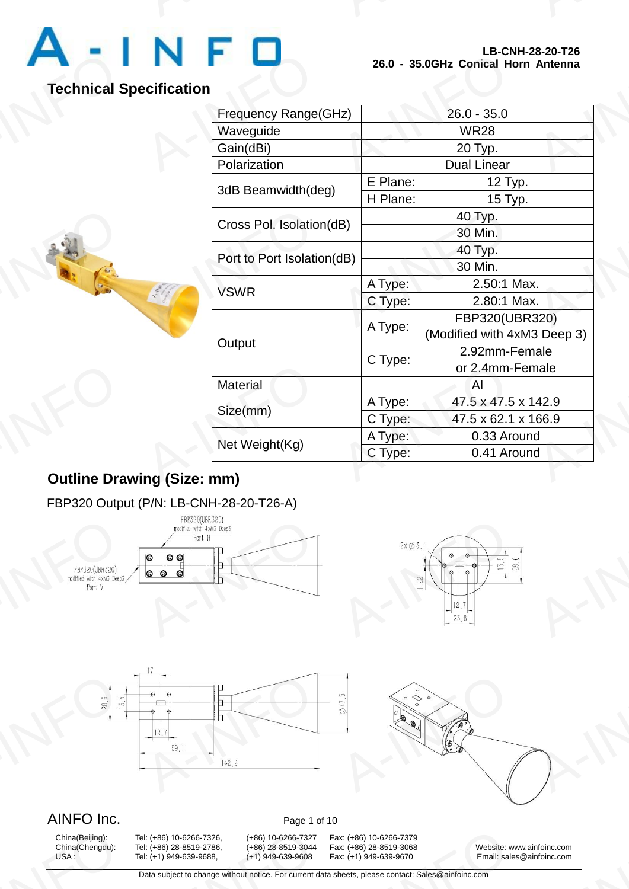

# **Technical Specification**

A-INFO

|                            | LD-VNN-Z0-ZV-TZV<br>26.0 - 35.0GHz Conical Horn Antenna |                                               |
|----------------------------|---------------------------------------------------------|-----------------------------------------------|
| ecification                |                                                         |                                               |
| Frequency Range(GHz)       | $26.0 - 35.0$                                           |                                               |
| Waveguide                  | <b>WR28</b>                                             |                                               |
| Gain(dBi)                  | 20 Typ.                                                 |                                               |
| Polarization               | <b>Dual Linear</b>                                      |                                               |
| 3dB Beamwidth(deg)         | E Plane:                                                | 12 Typ.                                       |
|                            | H Plane:                                                | 15 Typ.                                       |
| Cross Pol. Isolation(dB)   |                                                         | 40 Typ.                                       |
|                            |                                                         | 30 Min.                                       |
| Port to Port Isolation(dB) |                                                         | 40 Typ.                                       |
|                            |                                                         | 30 Min.                                       |
| <b>VSWR</b>                | A Type:                                                 | 2.50:1 Max.                                   |
|                            | C Type:                                                 | 2.80:1 Max.                                   |
| Output                     | A Type:                                                 | FBP320(UBR320)<br>(Modified with 4xM3 Deep 3) |
|                            | C Type:                                                 | 2.92mm-Female<br>or 2.4mm-Female              |
| Material                   |                                                         | Al                                            |
| Size(mm)                   | A Type:                                                 | 47.5 x 47.5 x 142.9                           |
|                            | C Type:                                                 | 47.5 x 62.1 x 166.9                           |
| Net Weight(Kg)             | A Type:                                                 | 0.33 Around                                   |
|                            | C Type:                                                 | 0.41 Around                                   |

# **Outline Drawing (Size: mm)** Dutline Dra

## FBP320 Output (P/N: LB-CNH-28-20-T26-A)









# AINFO Inc. Page 1 of 10

China(Beijing):<br>China(Chengdu):<br>USA :

9: (+86) 10-6266-7326, (+86) 10-6266-7327<br>9: (+86) 28-8519-2786, (+86) 28-8519-3044<br>9: (+1) 949-639-9688, (+1) 949-639-9608<br>Data subject to change without notice. For current d

China(Beijing): Tel: (+86) 10-6266-7326, (+86) 10-6266-7327 Fax: (+86) 10-6266-7379 13001 10-6266-7379<br>
13001 1486) 28-8519-3068<br>
13001 149-639-9670<br>
13001 149-639-9670<br>
14001 14002 14001 14002 14002 14002 14002 14002 14002 14002 14002 14002 14002<br>
14002 14002 14002 14002 14002 14002 14002 14002 14002 140

China(Chengdu): Tel: (+86) 28-8519-2786, (+86) 28-8519-3044 Fax: (+86) 28-8519-3068 Website: www.ainfoinc.com Email: sales@ainfoinc.com infoinc.com<br>
<u>A-Infoinc.com</u>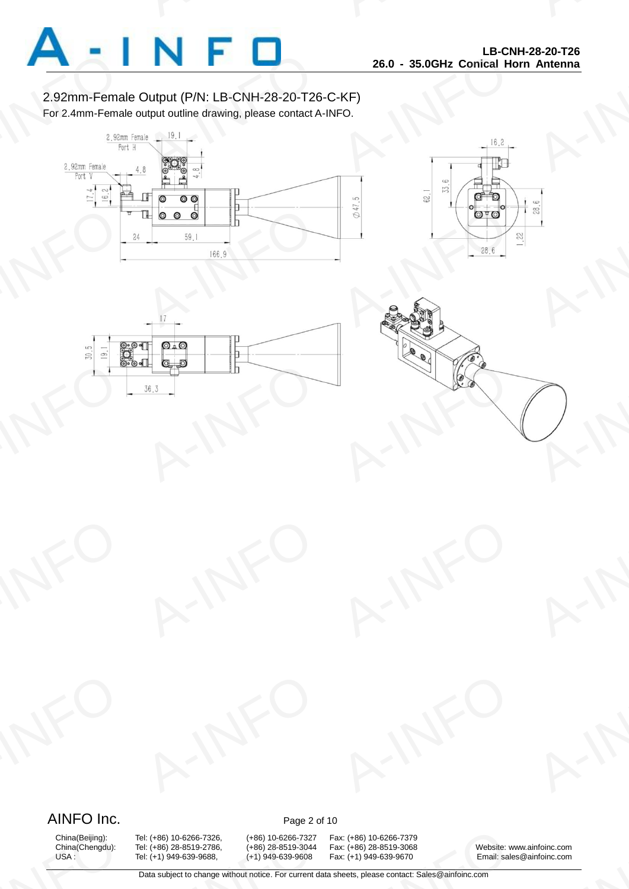

2.92mm-Female Output (P/N: LB-CNH-28-20-T26-C-KF) For 2.4mm-Female output outline drawing, please contact A-INFO.









# AINFO Inc. Page 2 of 10

China(Beijing):<br>China(Chengdu):<br>USA :

9: (+86) 10-6266-7326, (+86) 10-6266-7327<br>9: (+86) 28-8519-2786, (+86) 28-8519-3044<br>9: (+1) 949-639-9688, (+1) 949-639-9608<br>Data subject to change without notice. For current d

China(Beijing): Tel: (+86) 10-6266-7326, (+86) 10-6266-7327 Fax: (+86) 10-6266-7379 13001 10-6266-7379<br>
13001 1486) 28-8519-3068<br>
13001 149-639-9670<br>
13001 149-639-9670<br>
14001 14002 14001 14002 14002 14002 14002 14002 14002 14002 14002 14002 14002<br>
14002 14002 14002 14002 14002 14002 14002 14002 14002 140

China(Chengdu): Tel: (+86) 28-8519-2786, (+86) 28-8519-3044 Fax: (+86) 28-8519-3068 Website: www.ainfoinc.com Email: sales@ainfoinc.com infoinc.com<br>
<u>A-Infoinc.com</u>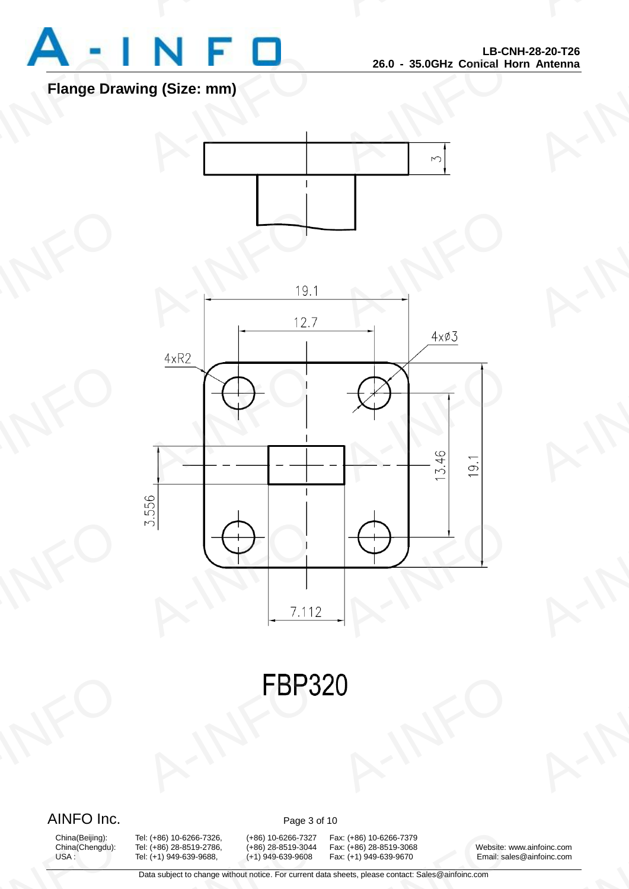

# **Flange Drawing (Size: mm)**





**FBP3** A-INFO

# AINFO Inc. Page 3 of 10

China(Beijing):<br>China(Chengdu):<br>USA :

9: (+86) 10-6266-7326, (+86) 10-6266-7327<br>9: (+86) 28-8519-2786, (+86) 28-8519-3044<br>9: (+1) 949-639-9688, (+1) 949-639-9608<br>Data subject to change without notice. For current d

China(Beijing): Tel: (+86) 10-6266-7326, (+86) 10-6266-7327 Fax: (+86) 10-6266-7379 13001 10-6266-7379<br>
13001 1486) 28-8519-3068<br>
13001 149-639-9670<br>
13001 149-639-9670<br>
14001 14002 14001 14002 14002 14002 14002 14002 14002 14002 14002 14002 14002<br>
14002 14002 14002 14002 14002 14002 14002 14002 14002 140

China(Chengdu): Tel: (+86) 28-8519-2786, (+86) 28-8519-3044 Fax: (+86) 28-8519-3068 Website: www.ainfoinc.com Email: sales@ainfoinc.com infoinc.com<br>
<u>A-Infoinc.com</u>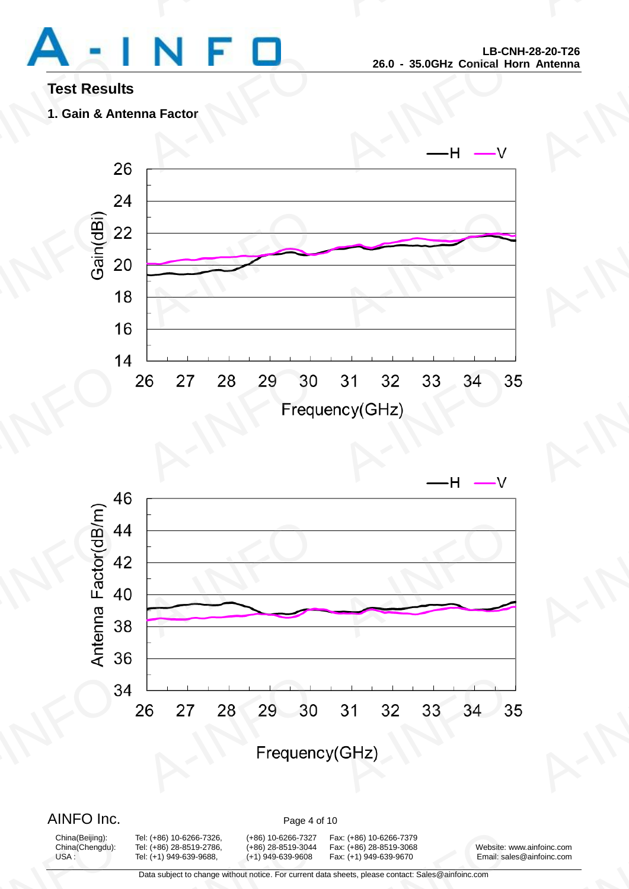

# **Test Results**

**1. Gain & Antenna Factor**





# AINFO Inc. Page 4 of 10

China(Beijing):<br>China(Chengdu):<br>USA :

9: (+86) 10-6266-7326, (+86) 10-6266-7327<br>9: (+86) 28-8519-2786, (+86) 28-8519-3044<br>9: (+1) 949-639-9688, (+1) 949-639-9608<br>Data subject to change without notice. For current d

China(Beijing): Tel: (+86) 10-6266-7326, (+86) 10-6266-7327 Fax: (+86) 10-6266-7379

China(Chengdu): Tel: (+86) 28-8519-2786, (+86) 28-8519-3044 Fax: (+86) 28-8519-3068 Website: www.ainfoinc.com Tel: (+1) 949-639-9688, (+1) 949-639-9608 Fax: (+1) 949-639-9670 Email: sales@ainfoinc.com infoinc.com<br>
<u>A-Infoinc.com</u>

Data subject to change without notice. For current data sheets, please contact: Sales@ainfoinc.com 13001 10-6266-7379<br>
13001 1486) 28-8519-3068<br>
13001 149-639-9670<br>
13001 149-639-9670<br>
14001 14002 14001 14002 14002 14002 14002 14002 14002 14002 14002 14002 14002<br>
14002 14002 14002 14002 14002 14002 14002 14002 14002 140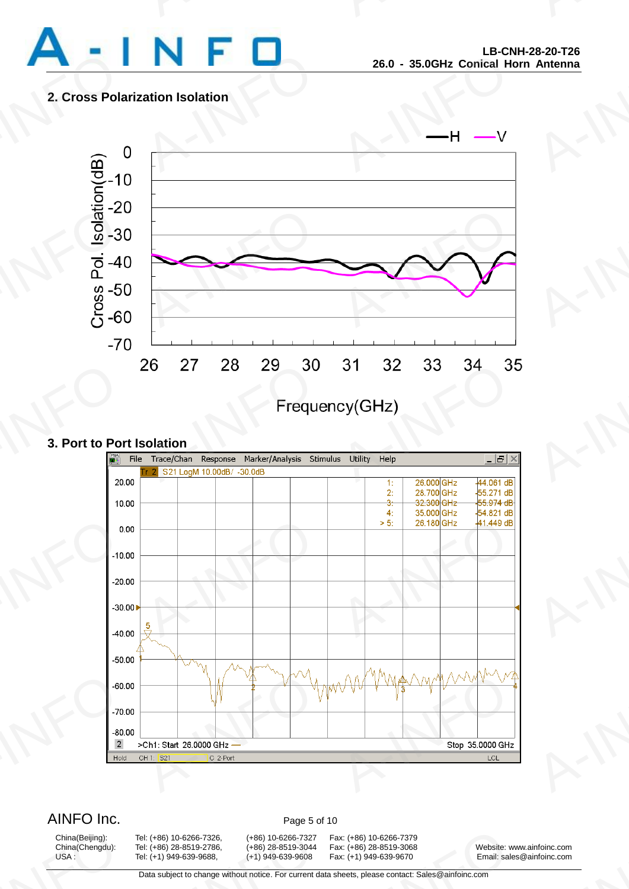

## **2. Cross Polarization Isolation**



## **3. Port to Port Isolation**



AINFO Inc. Page 5 of 10

China(Beijing):<br>China(Chengdu):<br>USA :

9: (+86) 10-6266-7326, (+86) 10-6266-7327<br>9: (+86) 28-8519-2786, (+86) 28-8519-3044<br>9: (+1) 949-639-9688, (+1) 949-639-9608<br>Data subject to change without notice. For current d

China(Beijing): Tel: (+86) 10-6266-7326, (+86) 10-6266-7327 Fax: (+86) 10-6266-7379 13001 10-6266-7379<br>
13001 1486) 28-8519-3068<br>
13001 149-639-9670<br>
13001 149-639-9670<br>
14001 14002 14001 14002 14002 14002 14002 14002 14002 14002 14002 14002 14002<br>
14002 14002 14002 14002 14002 14002 14002 14002 14002 140

China(Chengdu): Tel: (+86) 28-8519-2786, (+86) 28-8519-3044 Fax: (+86) 28-8519-3068 Website: www.ainfoinc.com Tel: (+1) 949-639-9688, (+1) 949-639-9608 Fax: (+1) 949-639-9670 Email: sales@ainfoinc.com infoinc.com<br>
<u>A-Infoinc.com</u>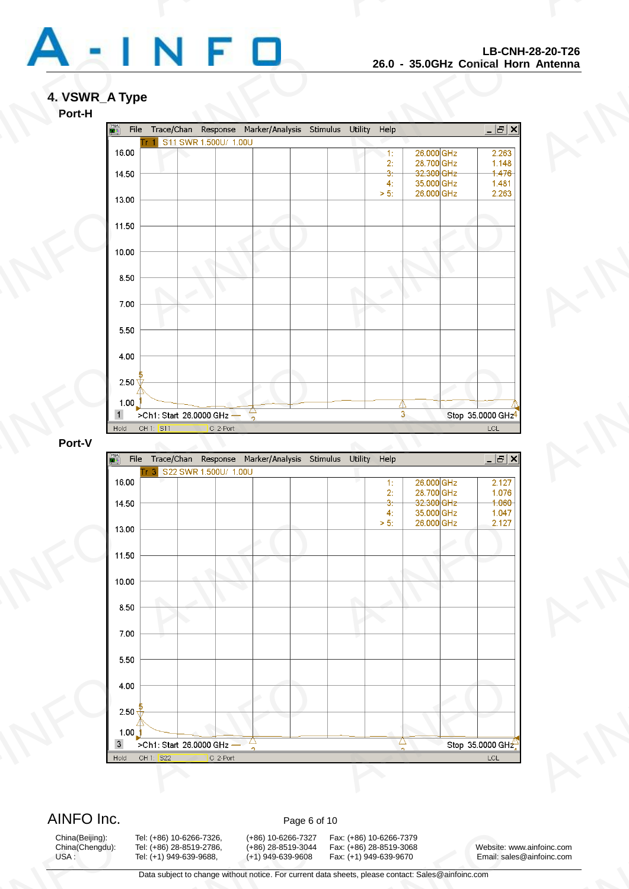

## **4. VSWR\_A Type**



## **Port-V**



AINFO Inc. Page 6 of 10

China(Beijing):<br>China(Chengdu):<br>USA :

9: (+86) 10-6266-7326, (+86) 10-6266-7327<br>9: (+86) 28-8519-2786, (+86) 28-8519-3044<br>9: (+1) 949-639-9688, (+1) 949-639-9608<br>Data subject to change without notice. For current d

China(Beijing): Tel: (+86) 10-6266-7326, (+86) 10-6266-7327 Fax: (+86) 10-6266-7379 13001 10-6266-7379<br>
13001 1486) 28-8519-3068<br>
13001 149-639-9670<br>
13001 149-639-9670<br>
14001 14002 14001 14002 14002 14002 14002 14002 14002 14002 14002 14002 14002<br>
14002 14002 14002 14002 14002 14002 14002 14002 14002 140

China(Chengdu): Tel: (+86) 28-8519-2786, (+86) 28-8519-3044 Fax: (+86) 28-8519-3068 Website: www.ainfoinc.com Tel: (+1) 949-639-9688, (+1) 949-639-9608 Fax: (+1) 949-639-9670 Email: sales@ainfoinc.com infoinc.com<br>
<u>A-Infoinc.com</u>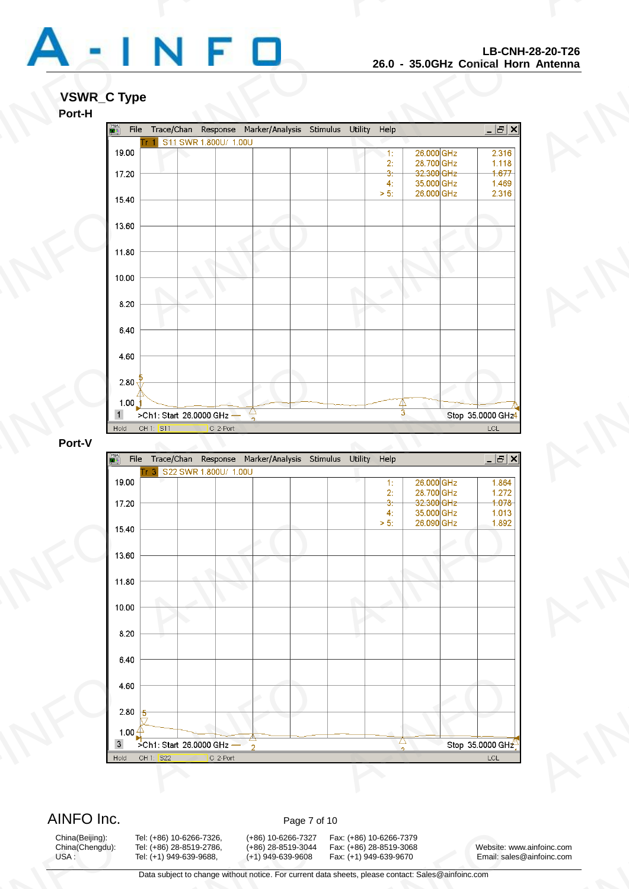

# **VSWR\_C Type**





AINFO Inc. Page 7 of 10

China(Beijing):<br>China(Chengdu):<br>USA :

9: (+86) 10-6266-7326, (+86) 10-6266-7327<br>9: (+86) 28-8519-2786, (+86) 28-8519-3044<br>9: (+1) 949-639-9688, (+1) 949-639-9608<br>Data subject to change without notice. For current d

China(Beijing): Tel: (+86) 10-6266-7326, (+86) 10-6266-7327 Fax: (+86) 10-6266-7379 13001 10-6266-7379<br>
13001 1486) 28-8519-3068<br>
13001 149-639-9670<br>
13001 149-639-9670<br>
14001 14002 14001 14002 14002 14002 14002 14002 14002 14002 14002 14002 14002<br>
14002 14002 14002 14002 14002 14002 14002 14002 14002 140

China(Chengdu): Tel: (+86) 28-8519-2786, (+86) 28-8519-3044 Fax: (+86) 28-8519-3068 Website: www.ainfoinc.com Tel: (+1) 949-639-9688, (+1) 949-639-9608 Fax: (+1) 949-639-9670 Email: sales@ainfoinc.com infoinc.com<br>
<u>A-Infoinc.com</u>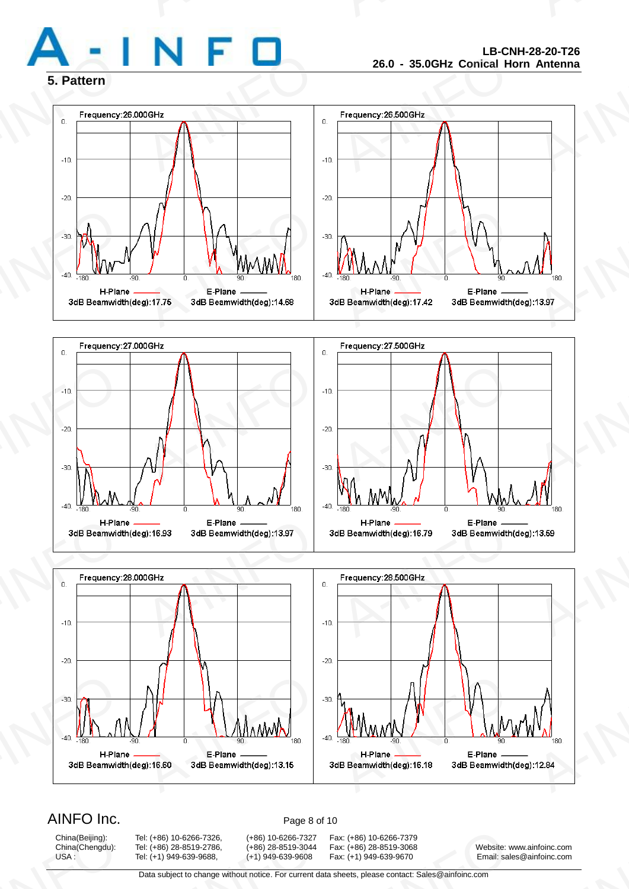







# AINFO Inc. Page 8 of 10

China(Beijing):<br>China(Chengdu):<br>USA :

9: (+86) 10-6266-7326, (+86) 10-6266-7327<br>9: (+86) 28-8519-2786, (+86) 28-8519-3044<br>9: (+1) 949-639-9688, (+1) 949-639-9608<br>Data subject to change without notice. For current d

China(Beijing): Tel: (+86) 10-6266-7326, (+86) 10-6266-7327 Fax: (+86) 10-6266-7379 13001 10-6266-7379<br>
13001 1486) 28-8519-3068<br>
13001 149-639-9670<br>
13001 149-639-9670<br>
14001 14002 14001 14002 14002 14002 14002 14002 14002 14002 14002 14002 14002<br>
14002 14002 14002 14002 14002 14002 14002 14002 14002 140

China(Chengdu): Tel: (+86) 28-8519-2786, (+86) 28-8519-3044 Fax: (+86) 28-8519-3068 Website: www.ainfoinc.com Email: sales@ainfoinc.com infoinc.com<br>
<u>A-Infoinc.com</u>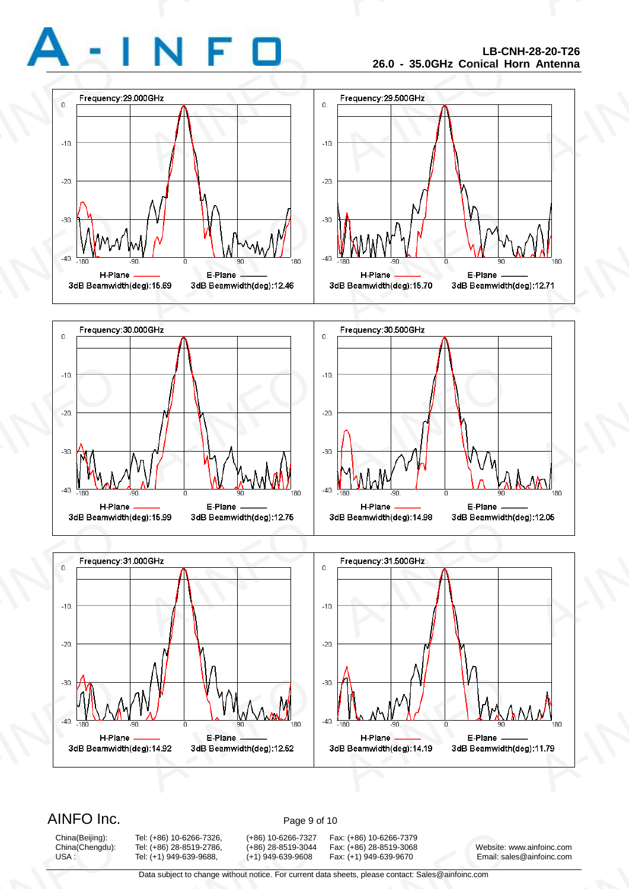







# AINFO Inc. Page 9 of 10

China(Beijing):<br>China(Chengdu):<br>USA :

China(Beijing): Tel: (+86) 10-6266-7326, (+86) 10-6266-7327 Fax: (+86) 10-6266-7379 9: (+86) 10-6266-7326, (+86) 10-6266-7327<br>9: (+86) 28-8519-2786, (+86) 28-8519-3044<br>9: (+1) 949-639-9688, (+1) 949-639-9608<br>Data subject to change without notice. For current d

China(Chengdu): Tel: (+86) 28-8519-2786, (+86) 28-8519-3044 Fax: (+86) 28-8519-3068 Website: www.ainfoinc.com Email: sales@ainfoinc.com infoinc.com<br>
<u>A-Infoinc.com</u>

Data subject to change without notice. For current data sheets, please contact: Sales@ainfoinc.com 13001 10-6266-7379<br>
13001 1486) 28-8519-3068<br>
13001 149-639-9670<br>
13001 149-639-9670<br>
14001 14002 14001 14002 14002 14002 14002 14002 14002 14002 14002 14002 14002<br>
14002 14002 14002 14002 14002 14002 14002 14002 14002 140